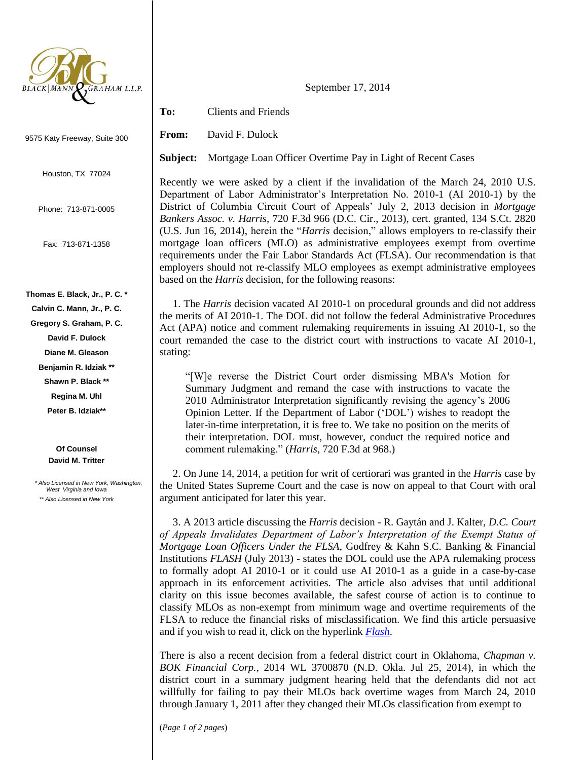

9575 Katy Freeway, Suite 300

Houston, TX 77024

Phone: 713-871-0005

Fax: 713-871-1358

## **Thomas E. Black, Jr., P. C. \***

**Calvin C. Mann, Jr., P. C.**

**Gregory S. Graham, P. C.**

**David F. Dulock**

**Diane M. Gleason**

**Benjamin R. Idziak \*\***

**Shawn P. Black \*\***

**Regina M. Uhl**

**Peter B. Idziak\*\***

**Of Counsel David M. Tritter**

 *\* Also Licensed in New York, Washington, West Virginia and Iowa \*\* Also Licensed in New York*

September 17, 2014

**To:** Clients and Friends

**From:** David F. Dulock

**Subject:** Mortgage Loan Officer Overtime Pay in Light of Recent Cases

Recently we were asked by a client if the invalidation of the March 24, 2010 U.S. Department of Labor Administrator's Interpretation No. 2010-1 (AI 2010-1) by the District of Columbia Circuit Court of Appeals' July 2, 2013 decision in *Mortgage Bankers Assoc. v. Harris*, 720 F.3d 966 (D.C. Cir., 2013), cert. granted, 134 S.Ct. 2820 (U.S. Jun 16, 2014), herein the "*Harris* decision," allows employers to re-classify their mortgage loan officers (MLO) as administrative employees exempt from overtime requirements under the Fair Labor Standards Act (FLSA). Our recommendation is that employers should not re-classify MLO employees as exempt administrative employees based on the *Harris* decision, for the following reasons:

 1. The *Harris* decision vacated AI 2010-1 on procedural grounds and did not address the merits of AI 2010-1. The DOL did not follow the federal Administrative Procedures Act (APA) notice and comment rulemaking requirements in issuing AI 2010-1, so the court remanded the case to the district court with instructions to vacate AI 2010-1, stating:

"[W]e reverse the District Court order dismissing MBA's Motion for Summary Judgment and remand the case with instructions to vacate the 2010 Administrator Interpretation significantly revising the agency's 2006 Opinion Letter. If the Department of Labor ('DOL') wishes to readopt the later-in-time interpretation, it is free to. We take no position on the merits of their interpretation. DOL must, however, conduct the required notice and comment rulemaking." (*Harris*, 720 F.3d at 968.)

 2. On June 14, 2014, a petition for writ of certiorari was granted in the *Harris* case by the United States Supreme Court and the case is now on appeal to that Court with oral argument anticipated for later this year.

 3. A 2013 article discussing the *Harris* decision - R. Gaytán and J. Kalter, *D.C. Court of Appeals Invalidates Department of Labor's Interpretation of the Exempt Status of Mortgage Loan Officers Under the FLSA*, Godfrey & Kahn S.C. Banking & Financial Institutions *FLASH* (July 2013) - states the DOL could use the APA rulemaking process to formally adopt AI 2010-1 or it could use AI 2010-1 as a guide in a case-by-case approach in its enforcement activities. The article also advises that until additional clarity on this issue becomes available, the safest course of action is to continue to classify MLOs as non-exempt from minimum wage and overtime requirements of the FLSA to reduce the financial risks of misclassification. We find this article persuasive and if you wish to read it, click on the hyperlink *[Flash](http://www.google.com/url?sa=t&rct=j&q=&esrc=s&source=web&cd=6&cad=rja&uact=8&ved=0CD8QFjAF&url=http%3A%2F%2Fwww.gklaw.com%2Fpublic_document.cfm%3Fid%3D3966%26key%3D16G2&ei=h-YZVJGHG8OLiwLtp4CQDQ&usg=AFQjCNGQZIWM6E2Hh-S8ffvr65EtZl9Pqw&bvm=bv.75097201,d.cGE)*.

There is also a recent decision from a federal district court in Oklahoma, *Chapman v. BOK Financial Corp.*, 2014 WL 3700870 (N.D. Okla. Jul 25, 2014), in which the district court in a summary judgment hearing held that the defendants did not act willfully for failing to pay their MLOs back overtime wages from March 24, 2010 through January 1, 2011 after they changed their MLOs classification from exempt to

(*Page 1 of 2 pages*)